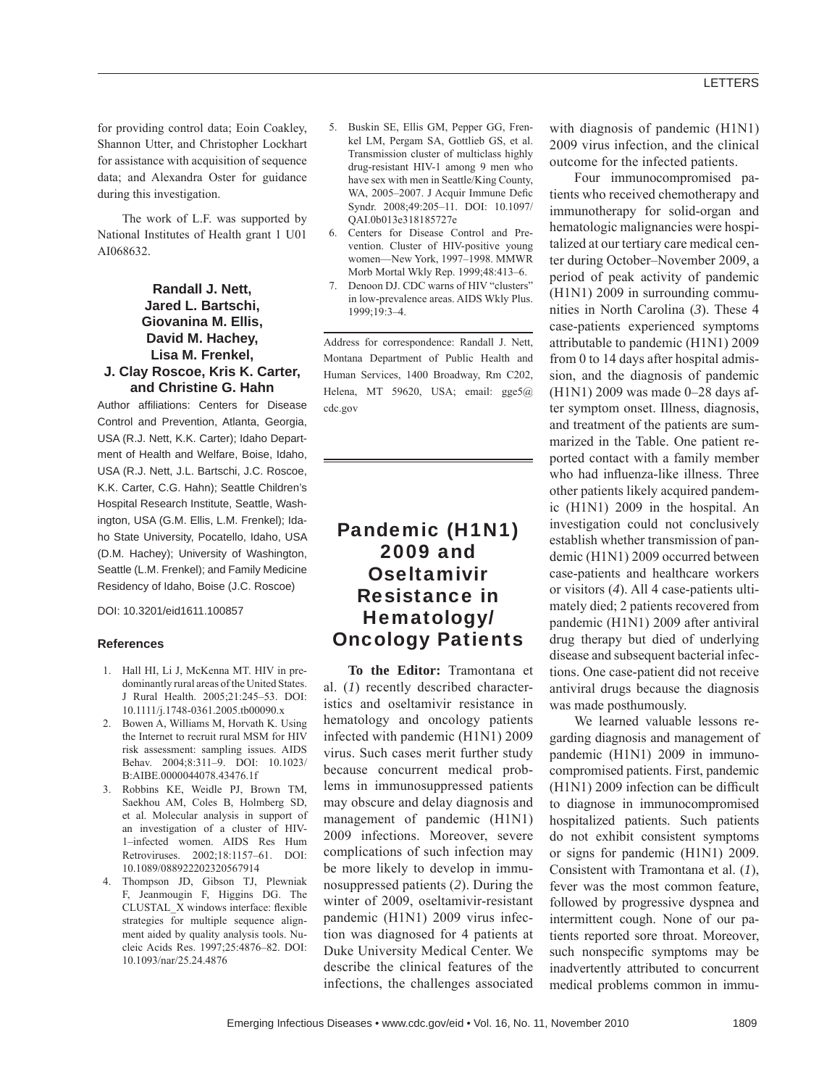for providing control data; Eoin Coakley, Shannon Utter, and Christopher Lockhart for assistance with acquisition of sequence data; and Alexandra Oster for guidance during this investigation.

The work of L.F. was supported by National Institutes of Health grant 1 U01 AI068632.

## **Randall J. Nett, Jared L. Bartschi, Giovanina M. Ellis, David M. Hachey, Lisa M. Frenkel, J. Clay Roscoe, Kris K. Carter, and Christine G. Hahn**

Author affiliations: Centers for Disease Control and Prevention, Atlanta, Georgia, USA (R.J. Nett, K.K. Carter); Idaho Department of Health and Welfare, Boise, Idaho, USA (R.J. Nett, J.L. Bartschi, J.C. Roscoe, K.K. Carter, C.G. Hahn); Seattle Children's Hospital Research Institute, Seattle, Washington, USA (G.M. Ellis, L.M. Frenkel); Idaho State University, Pocatello, Idaho, USA (D.M. Hachey); University of Washington, Seattle (L.M. Frenkel); and Family Medicine Residency of Idaho, Boise (J.C. Roscoe)

DOI: 10.3201/eid1611.100857

#### **References**

- 1. Hall HI, Li J, McKenna MT. HIV in predominantly rural areas of the United States. J Rural Health. 2005;21:245–53. DOI: 10.1111/j.1748-0361.2005.tb00090.x
- 2. Bowen A, Williams M, Horvath K. Using the Internet to recruit rural MSM for HIV risk assessment: sampling issues. AIDS Behav. 2004;8:311–9. DOI: 10.1023/ B:AIBE.0000044078.43476.1f
- 3. Robbins KE, Weidle PJ, Brown TM, Saekhou AM, Coles B, Holmberg SD, et al. Molecular analysis in support of an investigation of a cluster of HIV-1–infected women. AIDS Res Hum Retroviruses. 2002;18:1157–61. DOI: 10.1089/088922202320567914
- 4. Thompson JD, Gibson TJ, Plewniak F, Jeanmougin F, Higgins DG. The CLUSTAL\_X windows interface: flexible strategies for multiple sequence alignment aided by quality analysis tools. Nucleic Acids Res. 1997;25:4876–82. DOI: 10.1093/nar/25.24.4876
- 5. Buskin SE, Ellis GM, Pepper GG, Frenkel LM, Pergam SA, Gottlieb GS, et al. Transmission cluster of multiclass highly drug-resistant HIV-1 among 9 men who have sex with men in Seattle/King County, WA, 2005-2007. J Acquir Immune Defic Syndr. 2008;49:205–11. DOI: 10.1097/ QAI.0b013e318185727e
- 6. Centers for Disease Control and Prevention. Cluster of HIV-positive young women—New York, 1997–1998. MMWR Morb Mortal Wkly Rep. 1999;48:413–6.
- Denoon DJ. CDC warns of HIV "clusters" in low-prevalence areas. AIDS Wkly Plus. 1999;19:3–4.

Address for correspondence: Randall J. Nett, Montana Department of Public Health and Human Services, 1400 Broadway, Rm C202, Helena, MT 59620, USA; email: gge5@ cdc.gov

# Pandemic (H1N1) 2009 and **Oseltamivir** Resistance in Hematology/ Oncology Patients

**To the Editor:** Tramontana et al. (*1*) recently described characteristics and oseltamivir resistance in hematology and oncology patients infected with pandemic (H1N1) 2009 virus. Such cases merit further study because concurrent medical problems in immunosuppressed patients may obscure and delay diagnosis and management of pandemic (H1N1) 2009 infections. Moreover, severe complications of such infection may be more likely to develop in immunosuppressed patients (*2*). During the winter of 2009, oseltamivir-resistant pandemic (H1N1) 2009 virus infection was diagnosed for 4 patients at Duke University Medical Center. We describe the clinical features of the infections, the challenges associated

with diagnosis of pandemic (H1N1) 2009 virus infection, and the clinical outcome for the infected patients.

Four immunocompromised patients who received chemotherapy and immunotherapy for solid-organ and hematologic malignancies were hospitalized at our tertiary care medical center during October–November 2009, a period of peak activity of pandemic (H1N1) 2009 in surrounding communities in North Carolina (*3*). These 4 case-patients experienced symptoms attributable to pandemic (H1N1) 2009 from 0 to 14 days after hospital admission, and the diagnosis of pandemic (H1N1) 2009 was made 0–28 days after symptom onset. Illness, diagnosis, and treatment of the patients are summarized in the Table. One patient reported contact with a family member who had influenza-like illness. Three other patients likely acquired pandemic (H1N1) 2009 in the hospital. An investigation could not conclusively establish whether transmission of pandemic (H1N1) 2009 occurred between case-patients and healthcare workers or visitors (*4*). All 4 case-patients ultimately died; 2 patients recovered from pandemic (H1N1) 2009 after antiviral drug therapy but died of underlying disease and subsequent bacterial infections. One case-patient did not receive antiviral drugs because the diagnosis was made posthumously.

We learned valuable lessons regarding diagnosis and management of pandemic (H1N1) 2009 in immunocompromised patients. First, pandemic  $(H1N1)$  2009 infection can be difficult to diagnose in immunocompromised hospitalized patients. Such patients do not exhibit consistent symptoms or signs for pandemic (H1N1) 2009. Consistent with Tramontana et al. (*1*), fever was the most common feature, followed by progressive dyspnea and intermittent cough. None of our patients reported sore throat. Moreover, such nonspecific symptoms may be inadvertently attributed to concurrent medical problems common in immu-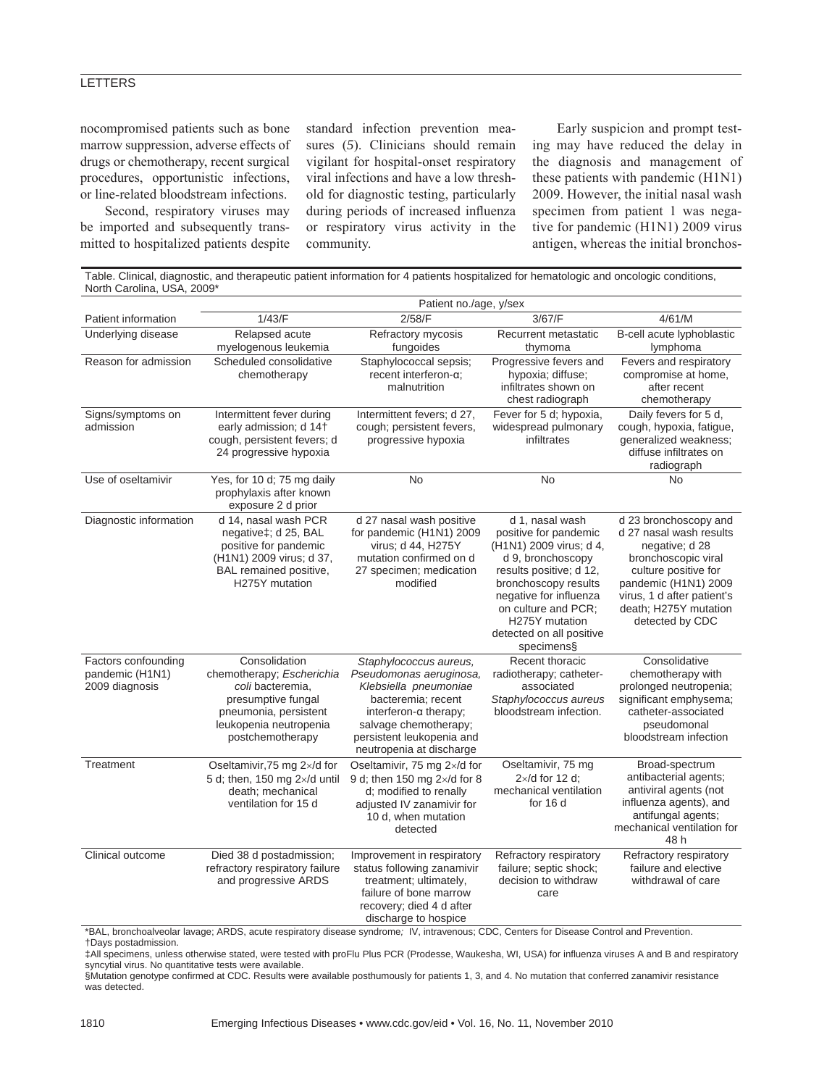## **LETTERS**

nocompromised patients such as bone marrow suppression, adverse effects of drugs or chemotherapy, recent surgical procedures, opportunistic infections, or line-related bloodstream infections.

Second, respiratory viruses may be imported and subsequently transmitted to hospitalized patients despite standard infection prevention measures (*5*). Clinicians should remain vigilant for hospital-onset respiratory viral infections and have a low threshold for diagnostic testing, particularly during periods of increased influenza or respiratory virus activity in the community.

Early suspicion and prompt testing may have reduced the delay in the diagnosis and management of these patients with pandemic (H1N1) 2009. However, the initial nasal wash specimen from patient 1 was negative for pandemic (H1N1) 2009 virus antigen, whereas the initial bronchos-

Table. Clinical, diagnostic, and therapeutic patient information for 4 patients hospitalized for hematologic and oncologic conditions, North Carolina, USA, 2009\* Patient no./age, y/sex

|                                                          | r alicht nol/age, y/sex                                                                                                                                     |                                                                                                                                                                                                                     |                                                                                                                                                                                                                                                          |                                                                                                                                                                                                                     |
|----------------------------------------------------------|-------------------------------------------------------------------------------------------------------------------------------------------------------------|---------------------------------------------------------------------------------------------------------------------------------------------------------------------------------------------------------------------|----------------------------------------------------------------------------------------------------------------------------------------------------------------------------------------------------------------------------------------------------------|---------------------------------------------------------------------------------------------------------------------------------------------------------------------------------------------------------------------|
| Patient information                                      | 1/43/F                                                                                                                                                      | 2/58/F                                                                                                                                                                                                              | 3/67/F                                                                                                                                                                                                                                                   | 4/61/M                                                                                                                                                                                                              |
| Underlying disease                                       | Relapsed acute<br>myelogenous leukemia                                                                                                                      | Refractory mycosis<br>fungoides                                                                                                                                                                                     | Recurrent metastatic<br>thymoma                                                                                                                                                                                                                          | B-cell acute lyphoblastic<br>lymphoma                                                                                                                                                                               |
| Reason for admission                                     | Scheduled consolidative<br>chemotherapy                                                                                                                     | Staphylococcal sepsis;<br>recent interferon-a:<br>malnutrition                                                                                                                                                      | Progressive fevers and<br>hypoxia; diffuse;<br>infiltrates shown on<br>chest radiograph                                                                                                                                                                  | Fevers and respiratory<br>compromise at home,<br>after recent<br>chemotherapy                                                                                                                                       |
| Signs/symptoms on<br>admission                           | Intermittent fever during<br>early admission; d 14+<br>cough, persistent fevers; d<br>24 progressive hypoxia                                                | Intermittent fevers; d 27,<br>cough; persistent fevers,<br>progressive hypoxia                                                                                                                                      | Fever for 5 d; hypoxia,<br>widespread pulmonary<br>infiltrates                                                                                                                                                                                           | Daily fevers for 5 d,<br>cough, hypoxia, fatigue,<br>generalized weakness;<br>diffuse infiltrates on<br>radiograph                                                                                                  |
| Use of oseltamivir                                       | Yes, for 10 d; 75 mg daily<br>prophylaxis after known<br>exposure 2 d prior                                                                                 | <b>No</b>                                                                                                                                                                                                           | <b>No</b>                                                                                                                                                                                                                                                | <b>No</b>                                                                                                                                                                                                           |
| Diagnostic information                                   | d 14, nasal wash PCR<br>negative‡; d 25, BAL<br>positive for pandemic<br>(H1N1) 2009 virus; d 37,<br>BAL remained positive,<br>H275Y mutation               | d 27 nasal wash positive<br>for pandemic (H1N1) 2009<br>virus; d 44, H275Y<br>mutation confirmed on d<br>27 specimen; medication<br>modified                                                                        | d 1, nasal wash<br>positive for pandemic<br>(H1N1) 2009 virus; d 4,<br>d 9, bronchoscopy<br>results positive; d 12,<br>bronchoscopy results<br>negative for influenza<br>on culture and PCR:<br>H275Y mutation<br>detected on all positive<br>specimens§ | d 23 bronchoscopy and<br>d 27 nasal wash results<br>negative; d 28<br>bronchoscopic viral<br>culture positive for<br>pandemic (H1N1) 2009<br>virus, 1 d after patient's<br>death; H275Y mutation<br>detected by CDC |
| Factors confounding<br>pandemic (H1N1)<br>2009 diagnosis | Consolidation<br>chemotherapy; Escherichia<br>coli bacteremia.<br>presumptive fungal<br>pneumonia, persistent<br>leukopenia neutropenia<br>postchemotherapy | Staphylococcus aureus,<br>Pseudomonas aeruginosa,<br>Klebsiella pneumoniae<br>bacteremia; recent<br>interferon- $\alpha$ therapy;<br>salvage chemotherapy;<br>persistent leukopenia and<br>neutropenia at discharge | Recent thoracic<br>radiotherapy; catheter-<br>associated<br>Staphylococcus aureus<br>bloodstream infection.                                                                                                                                              | Consolidative<br>chemotherapy with<br>prolonged neutropenia;<br>significant emphysema;<br>catheter-associated<br>pseudomonal<br>bloodstream infection                                                               |
| Treatment                                                | Oseltamivir, 75 mg 2x/d for<br>5 d; then, 150 mg $2\times$ /d until<br>death; mechanical<br>ventilation for 15 d                                            | Oseltamivir, 75 mg 2×/d for<br>9 d; then 150 mg $2 \times$ /d for 8<br>d; modified to renally<br>adjusted IV zanamivir for<br>10 d, when mutation<br>detected                                                       | Oseltamivir, 75 mg<br>$2 \times$ /d for 12 d:<br>mechanical ventilation<br>for 16 d                                                                                                                                                                      | Broad-spectrum<br>antibacterial agents;<br>antiviral agents (not<br>influenza agents), and<br>antifungal agents;<br>mechanical ventilation for<br>48 h                                                              |
| Clinical outcome                                         | Died 38 d postadmission;<br>refractory respiratory failure<br>and progressive ARDS                                                                          | Improvement in respiratory<br>status following zanamivir<br>treatment; ultimately,<br>failure of bone marrow<br>recovery; died 4 d after<br>discharge to hospice                                                    | Refractory respiratory<br>failure; septic shock;<br>decision to withdraw<br>care                                                                                                                                                                         | Refractory respiratory<br>failure and elective<br>withdrawal of care                                                                                                                                                |

\*BAL, bronchoalveolar lavage; ARDS, acute respiratory disease syndrome*;* IV, intravenous; CDC, Centers for Disease Control and Prevention. †Days postadmission.

‡All specimens, unless otherwise stated, were tested with proFlu Plus PCR (Prodesse, Waukesha, WI, USA) for influenza viruses A and B and respiratory syncytial virus. No quantitative tests were available.

§Mutation genotype confirmed at CDC. Results were available posthumously for patients 1, 3, and 4. No mutation that conferred zanamivir resistance was detected.